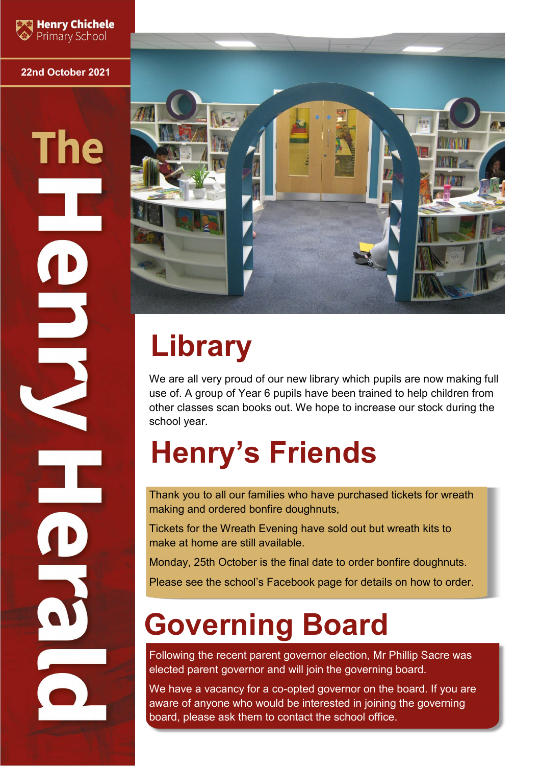

#### **22nd October 2021**

# **The**



# **Library**

We are all very proud of our new library which pupils are now making full use of. A group of Year 6 pupils have been trained to help children from other classes scan books out. We hope to increase our stock during the school year.

## **Henry's Friends**

Thank you to all our families who have purchased tickets for wreath making and ordered bonfire doughnuts,

Tickets for the Wreath Evening have sold out but wreath kits to make at home are still available.

Monday, 25th October is the final date to order bonfire doughnuts.

Please see the school's Facebook page for details on how to order.

## **Governing Board**

Following the recent parent governor election, Mr Phillip Sacre was elected parent governor and will join the governing board.

We have a vacancy for a co-opted governor on the board. If you are aware of anyone who would be interested in joining the governing board, please ask them to contact the school office.